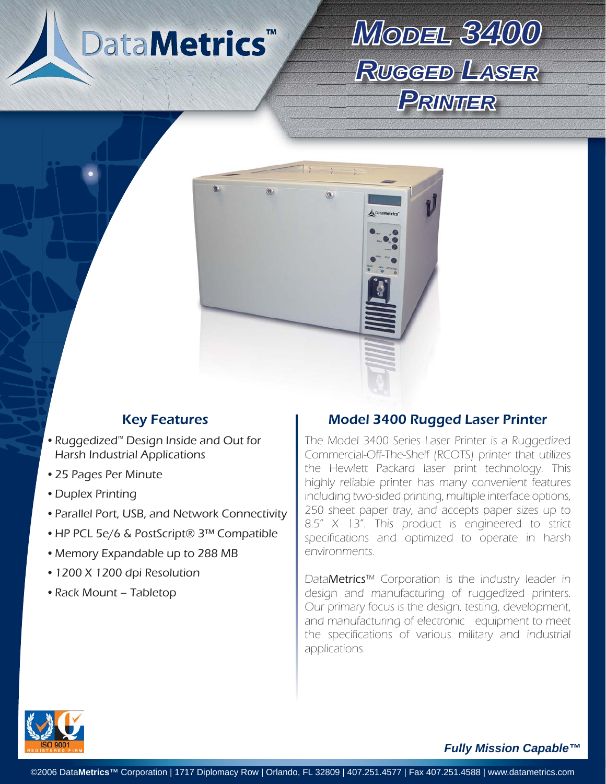

# *MODEL3400 RUGGEDLASER PRINTER*



- Ruggedized™ Design Inside and Out for Harsh Industrial Applications
- 25 Pages Per Minute •
- Duplex Printing
- Parallel Port, USB, and Network Connectivity
- HP PCL 5e/6 & PostScript® 3™ Compatible
- Memory Expandable up to 288 MB
- 1200 X 1200 dpi Resolution
- Rack Mount Tabletop

### Key Features **Model 3400 Rugged Laser Printer**

The Model 3400 Series Laser Printer is a Ruggedized Commercial-Off-The-Shelf (RCOTS) printer that utilizes the Hewlett Packard laser print technology. This highly reliable printer has many convenient features including two-sided printing, multiple interface options, 250 sheet paper tray, and accepts paper sizes up to 8.5" X 13". This product is engineered to strict specifications and optimized to operate in harsh environments.

DataMetrics™ Corporation is the industry leader in design and manufacturing of ruggedized printers. Our primary focus is the design, testing, development, and manufacturing of electronic equipment to meet the specifications of various military and industrial applications.



*Fully Mission Capable™*